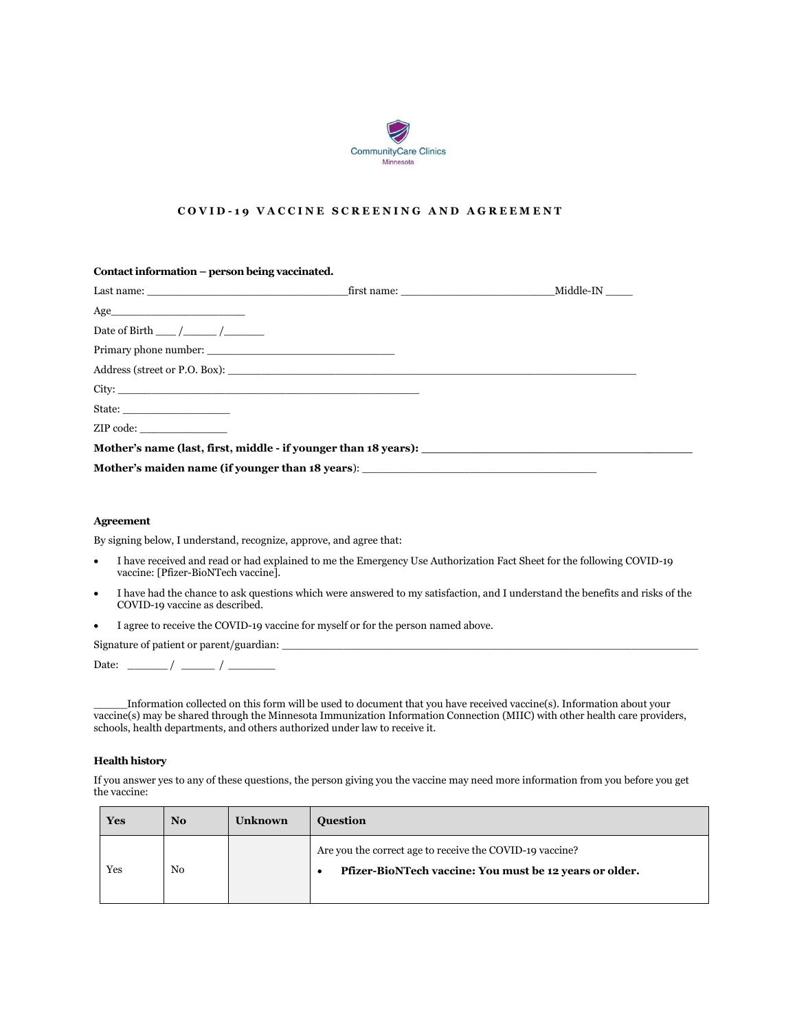

## **C O V I D - 1 9 V A C C I N E S C R E E N I N G A N D A G R E E M E N T**

| Contact information – person being vaccinated.                                    |  |
|-----------------------------------------------------------------------------------|--|
|                                                                                   |  |
| $\bf Age \_\_\_$                                                                  |  |
| Date of Birth $\frac{\sqrt{2}}{2}$                                                |  |
|                                                                                   |  |
|                                                                                   |  |
|                                                                                   |  |
| State:                                                                            |  |
|                                                                                   |  |
|                                                                                   |  |
| Mother's maiden name (if younger than 18 years): ________________________________ |  |

#### **Agreement**

By signing below, I understand, recognize, approve, and agree that:

- I have received and read or had explained to me the Emergency Use Authorization Fact Sheet for the following COVID-19 vaccine: [Pfizer-BioNTech vaccine].
- I have had the chance to ask questions which were answered to my satisfaction, and I understand the benefits and risks of the COVID-19 vaccine as described.
- I agree to receive the COVID-19 vaccine for myself or for the person named above.

Signature of patient or parent/guardian:

Date: \_\_\_\_\_\_ / \_\_\_\_\_ / \_\_\_\_\_\_\_

\_\_\_\_\_Information collected on this form will be used to document that you have received vaccine(s). Information about your vaccine(s) may be shared through the Minnesota Immunization Information Connection (MIIC) with other health care providers, schools, health departments, and others authorized under law to receive it.

### **Health history**

If you answer yes to any of these questions, the person giving you the vaccine may need more information from you before you get the vaccine:

| <b>Yes</b> | N <sub>o</sub> | <b>Unknown</b> | <b>Ouestion</b>                                                                                                     |
|------------|----------------|----------------|---------------------------------------------------------------------------------------------------------------------|
| Yes        | No             |                | Are you the correct age to receive the COVID-19 vaccine?<br>Pfizer-BioNTech vaccine: You must be 12 years or older. |